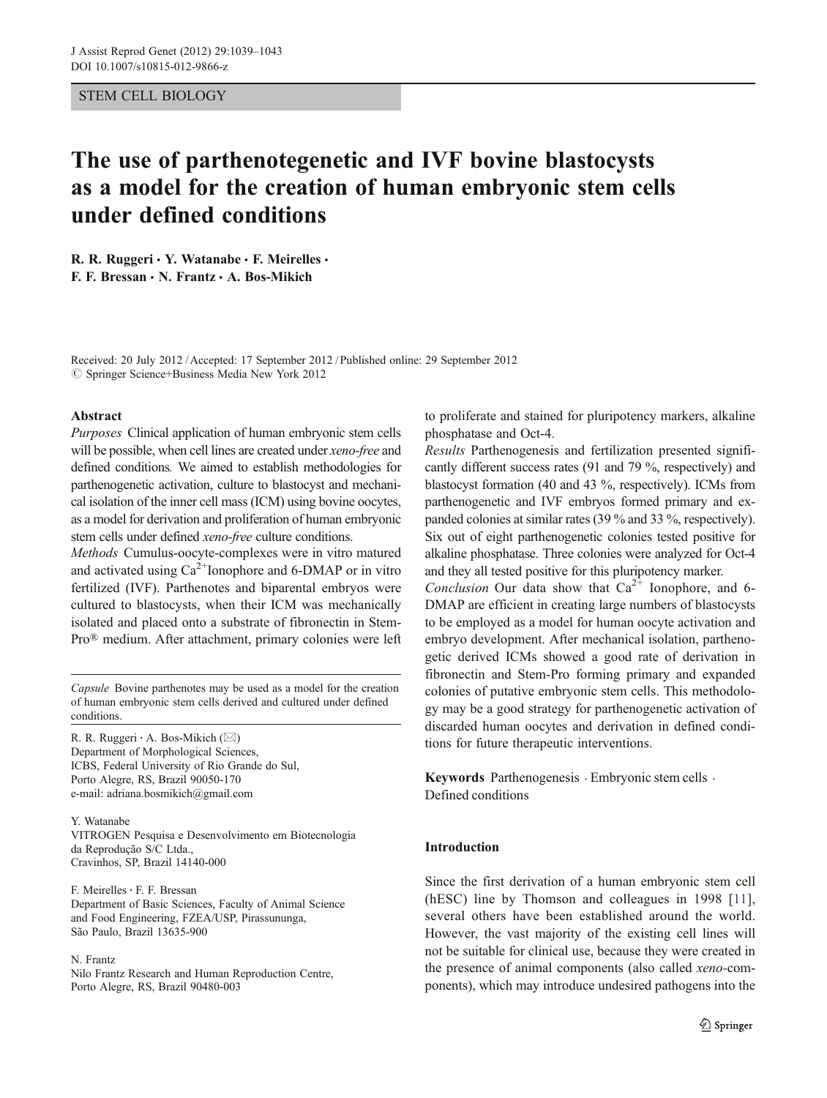# STEM CELL BIOLOGY

# The use of parthenotegenetic and IVF bovine blastocysts as a model for the creation of human embryonic stem cells under defined conditions

R. R. Ruggeri  $\cdot$  Y. Watanabe  $\cdot$  F. Meirelles  $\cdot$ F. F. Bressan & N. Frantz & A. Bos-Mikich

Received: 20 July 2012 /Accepted: 17 September 2012 / Published online: 29 September 2012  $\circled{c}$  Springer Science+Business Media New York 2012

#### Abstract

Purposes Clinical application of human embryonic stem cells will be possible, when cell lines are created under xeno-free and defined conditions. We aimed to establish methodologies for parthenogenetic activation, culture to blastocyst and mechanical isolation of the inner cell mass (ICM) using bovine oocytes, as a model for derivation and proliferation of human embryonic stem cells under defined xeno-free culture conditions.

Methods Cumulus-oocyte-complexes were in vitro matured and activated using  $Ca^{2+}$ Ionophore and 6-DMAP or in vitro fertilized (IVF). Parthenotes and biparental embryos were cultured to blastocysts, when their ICM was mechanically isolated and placed onto a substrate of fibronectin in Stem-Pro® medium. After attachment, primary colonies were left

Capsule Bovine parthenotes may be used as a model for the creation of human embryonic stem cells derived and cultured under defined conditions.

R. R. Ruggeri  $\cdot$  A. Bos-Mikich ( $\boxtimes$ ) Department of Morphological Sciences, ICBS, Federal University of Rio Grande do Sul, Porto Alegre, RS, Brazil 90050-170 e-mail: adriana.bosmikich@gmail.com

#### Y. Watanabe

VITROGEN Pesquisa e Desenvolvimento em Biotecnologia da Reprodução S/C Ltda., Cravinhos, SP, Brazil 14140-000

F. Meirelles: F. F. Bressan Department of Basic Sciences, Faculty of Animal Science and Food Engineering, FZEA/USP, Pirassununga, São Paulo, Brazil 13635-900

#### N. Frantz

Nilo Frantz Research and Human Reproduction Centre, Porto Alegre, RS, Brazil 90480-003

to proliferate and stained for pluripotency markers, alkaline phosphatase and Oct-4.

Results Parthenogenesis and fertilization presented significantly different success rates (91 and 79 %, respectively) and blastocyst formation (40 and 43 %, respectively). ICMs from parthenogenetic and IVF embryos formed primary and expanded colonies at similar rates (39 % and 33 %, respectively). Six out of eight parthenogenetic colonies tested positive for alkaline phosphatase. Three colonies were analyzed for Oct-4 and they all tested positive for this pluripotency marker.

Conclusion Our data show that  $Ca^{2+}$  Ionophore, and 6-DMAP are efficient in creating large numbers of blastocysts to be employed as a model for human oocyte activation and embryo development. After mechanical isolation, parthenogetic derived ICMs showed a good rate of derivation in fibronectin and Stem-Pro forming primary and expanded colonies of putative embryonic stem cells. This methodology may be a good strategy for parthenogenetic activation of discarded human oocytes and derivation in defined conditions for future therapeutic interventions.

Keywords Parthenogenesis · Embryonic stem cells · Defined conditions

# Introduction

Since the first derivation of a human embryonic stem cell (hESC) line by Thomson and colleagues in 1998 [11], several others have been established around the world. However, the vast majority of the existing cell lines will not be suitable for clinical use, because they were created in the presence of animal components (also called xeno-components), which may introduce undesired pathogens into the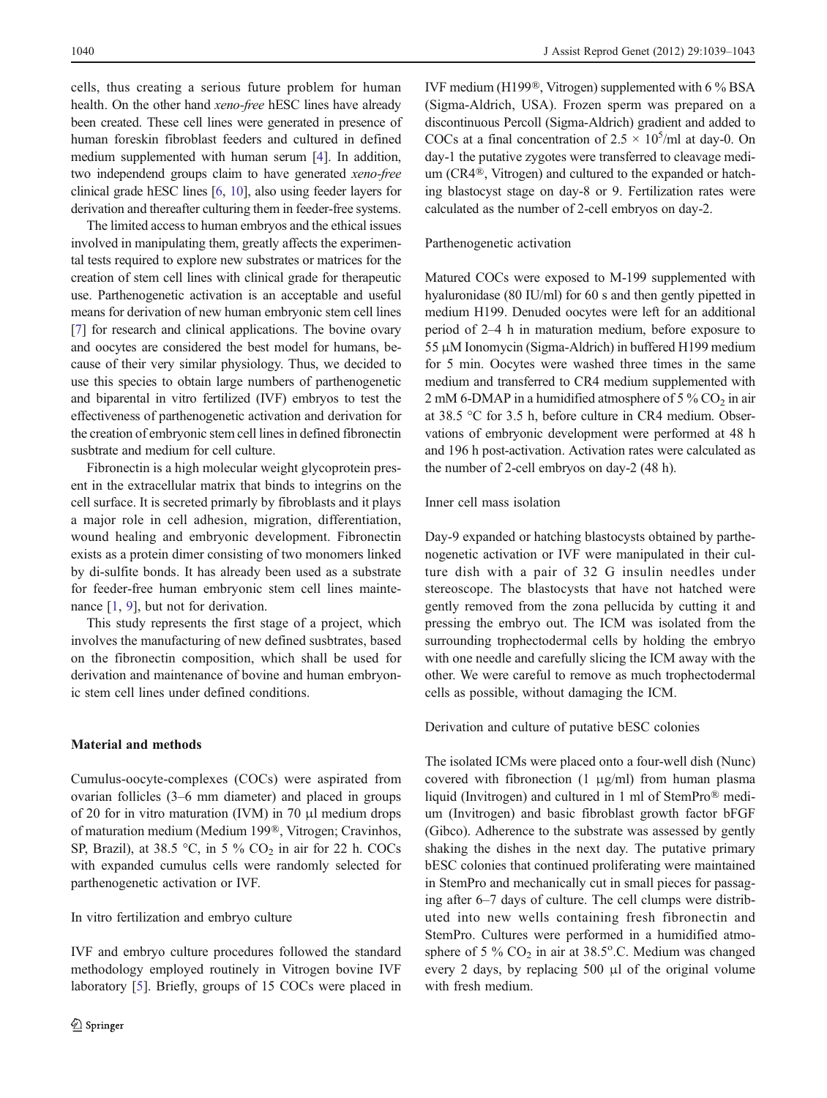cells, thus creating a serious future problem for human health. On the other hand xeno-free hESC lines have already been created. These cell lines were generated in presence of human foreskin fibroblast feeders and cultured in defined medium supplemented with human serum [4]. In addition, two independend groups claim to have generated xeno-free clinical grade hESC lines [6, 10], also using feeder layers for derivation and thereafter culturing them in feeder-free systems.

The limited access to human embryos and the ethical issues involved in manipulating them, greatly affects the experimental tests required to explore new substrates or matrices for the creation of stem cell lines with clinical grade for therapeutic use. Parthenogenetic activation is an acceptable and useful means for derivation of new human embryonic stem cell lines [7] for research and clinical applications. The bovine ovary and oocytes are considered the best model for humans, because of their very similar physiology. Thus, we decided to use this species to obtain large numbers of parthenogenetic and biparental in vitro fertilized (IVF) embryos to test the effectiveness of parthenogenetic activation and derivation for the creation of embryonic stem cell lines in defined fibronectin susbtrate and medium for cell culture.

Fibronectin is a high molecular weight glycoprotein present in the extracellular matrix that binds to integrins on the cell surface. It is secreted primarly by fibroblasts and it plays a major role in cell adhesion, migration, differentiation, wound healing and embryonic development. Fibronectin exists as a protein dimer consisting of two monomers linked by di-sulfite bonds. It has already been used as a substrate for feeder-free human embryonic stem cell lines maintenance [1, 9], but not for derivation.

This study represents the first stage of a project, which involves the manufacturing of new defined susbtrates, based on the fibronectin composition, which shall be used for derivation and maintenance of bovine and human embryonic stem cell lines under defined conditions.

## Material and methods

Cumulus-oocyte-complexes (COCs) were aspirated from ovarian follicles (3–6 mm diameter) and placed in groups of 20 for in vitro maturation (IVM) in 70 μl medium drops of maturation medium (Medium 199®, Vitrogen; Cravinhos, SP, Brazil), at 38.5 °C, in 5 %  $CO<sub>2</sub>$  in air for 22 h. COCs with expanded cumulus cells were randomly selected for parthenogenetic activation or IVF.

### In vitro fertilization and embryo culture

IVF and embryo culture procedures followed the standard methodology employed routinely in Vitrogen bovine IVF laboratory [5]. Briefly, groups of 15 COCs were placed in

IVF medium (H199®, Vitrogen) supplemented with 6 % BSA (Sigma-Aldrich, USA). Frozen sperm was prepared on a discontinuous Percoll (Sigma-Aldrich) gradient and added to COCs at a final concentration of  $2.5 \times 10^5$ /ml at day-0. On day-1 the putative zygotes were transferred to cleavage medium (CR4®, Vitrogen) and cultured to the expanded or hatching blastocyst stage on day-8 or 9. Fertilization rates were calculated as the number of 2-cell embryos on day-2.

#### Parthenogenetic activation

Matured COCs were exposed to M-199 supplemented with hyaluronidase (80 IU/ml) for 60 s and then gently pipetted in medium H199. Denuded oocytes were left for an additional period of 2–4 h in maturation medium, before exposure to 55 μM Ionomycin (Sigma-Aldrich) in buffered H199 medium for 5 min. Oocytes were washed three times in the same medium and transferred to CR4 medium supplemented with 2 mM 6-DMAP in a humidified atmosphere of  $5\%$  CO<sub>2</sub> in air at 38.5 °C for 3.5 h, before culture in CR4 medium. Observations of embryonic development were performed at 48 h and 196 h post-activation. Activation rates were calculated as the number of 2-cell embryos on day-2 (48 h).

## Inner cell mass isolation

Day-9 expanded or hatching blastocysts obtained by parthenogenetic activation or IVF were manipulated in their culture dish with a pair of 32 G insulin needles under stereoscope. The blastocysts that have not hatched were gently removed from the zona pellucida by cutting it and pressing the embryo out. The ICM was isolated from the surrounding trophectodermal cells by holding the embryo with one needle and carefully slicing the ICM away with the other. We were careful to remove as much trophectodermal cells as possible, without damaging the ICM.

#### Derivation and culture of putative bESC colonies

The isolated ICMs were placed onto a four-well dish (Nunc) covered with fibronection  $(1 \mu g/ml)$  from human plasma liquid (Invitrogen) and cultured in 1 ml of StemPro® medium (Invitrogen) and basic fibroblast growth factor bFGF (Gibco). Adherence to the substrate was assessed by gently shaking the dishes in the next day. The putative primary bESC colonies that continued proliferating were maintained in StemPro and mechanically cut in small pieces for passaging after 6–7 days of culture. The cell clumps were distributed into new wells containing fresh fibronectin and StemPro. Cultures were performed in a humidified atmosphere of 5 %  $CO<sub>2</sub>$  in air at 38.5°.C. Medium was changed every 2 days, by replacing 500 μl of the original volume with fresh medium.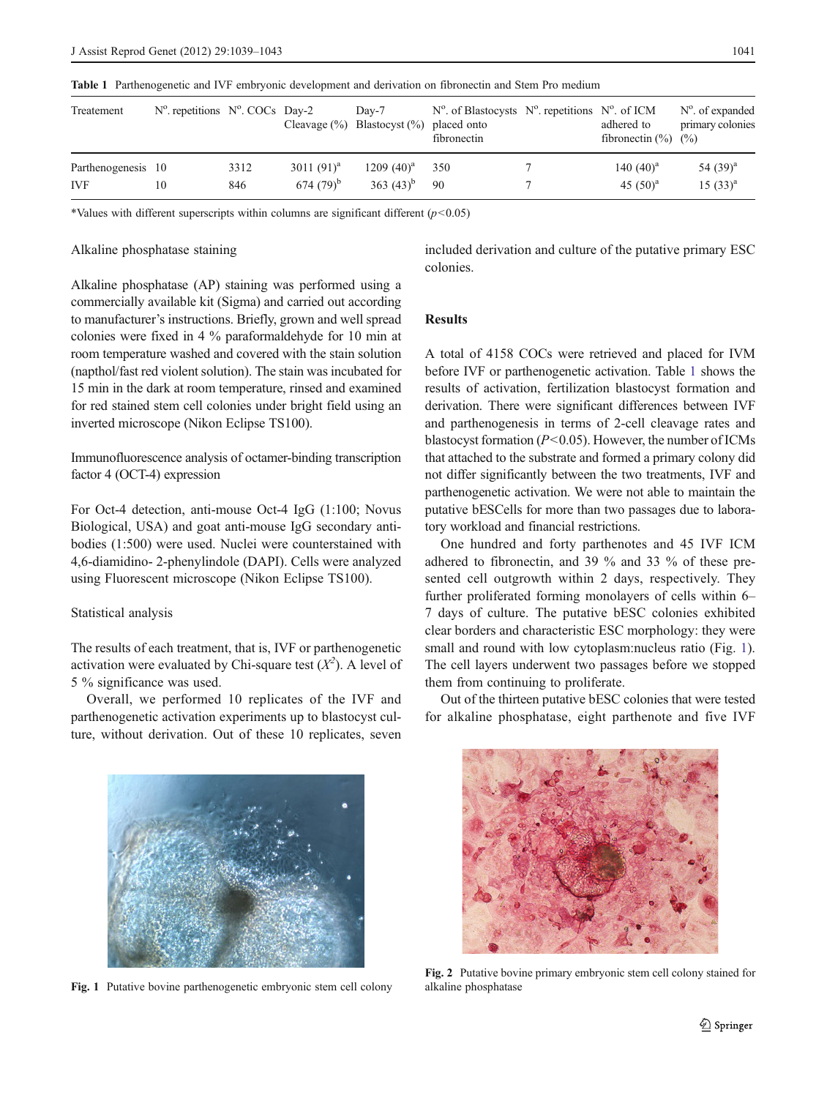| Treatement         | $N^{\circ}$ repetitions $N^{\circ}$ . COCs Day-2 |      |               | $Dav-7$<br>Cleavage $(\%)$ Blastocyst $(\%)$ placed onto | $N^{\circ}$ . of Blastocysts $N^{\circ}$ . repetitions $N^{\circ}$ . of ICM<br>fibronectin | adhered to<br>fibronectin $(\% )$ $(\% )$ | $N^{\circ}$ . of expanded<br>primary colonies |
|--------------------|--------------------------------------------------|------|---------------|----------------------------------------------------------|--------------------------------------------------------------------------------------------|-------------------------------------------|-----------------------------------------------|
| Parthenogenesis 10 |                                                  | 3312 | 3011 $(91)^a$ | $1209(40)^{a}$                                           | 350                                                                                        | 140 $(40)^a$                              | 54 $(39)^a$                                   |
| <b>IVF</b>         | 10                                               | 846  | $674(79)^{b}$ | 363 $(43)^{b}$                                           | 90                                                                                         | 45 $(50)^a$                               | $15(33)^{a}$                                  |

Table 1 Parthenogenetic and IVF embryonic development and derivation on fibronectin and Stem Pro medium

\*Values with different superscripts within columns are significant different  $(p<0.05)$ 

### Alkaline phosphatase staining

included derivation and culture of the putative primary ESC colonies.

Alkaline phosphatase (AP) staining was performed using a commercially available kit (Sigma) and carried out according to manufacturer's instructions. Briefly, grown and well spread colonies were fixed in 4 % paraformaldehyde for 10 min at room temperature washed and covered with the stain solution (napthol/fast red violent solution). The stain was incubated for 15 min in the dark at room temperature, rinsed and examined for red stained stem cell colonies under bright field using an inverted microscope (Nikon Eclipse TS100).

Immunofluorescence analysis of octamer-binding transcription factor 4 (OCT-4) expression

For Oct-4 detection, anti-mouse Oct-4 IgG (1:100; Novus Biological, USA) and goat anti-mouse IgG secondary antibodies (1:500) were used. Nuclei were counterstained with 4,6-diamidino- 2-phenylindole (DAPI). Cells were analyzed using Fluorescent microscope (Nikon Eclipse TS100).

## Statistical analysis

The results of each treatment, that is, IVF or parthenogenetic activation were evaluated by Chi-square test  $(X^2)$ . A level of 5 % significance was used.

Overall, we performed 10 replicates of the IVF and parthenogenetic activation experiments up to blastocyst culture, without derivation. Out of these 10 replicates, seven

## Results

A total of 4158 COCs were retrieved and placed for IVM before IVF or parthenogenetic activation. Table 1 shows the results of activation, fertilization blastocyst formation and derivation. There were significant differences between IVF and parthenogenesis in terms of 2-cell cleavage rates and blastocyst formation ( $P < 0.05$ ). However, the number of ICMs that attached to the substrate and formed a primary colony did not differ significantly between the two treatments, IVF and parthenogenetic activation. We were not able to maintain the putative bESCells for more than two passages due to laboratory workload and financial restrictions.

One hundred and forty parthenotes and 45 IVF ICM adhered to fibronectin, and 39 % and 33 % of these presented cell outgrowth within 2 days, respectively. They further proliferated forming monolayers of cells within 6– 7 days of culture. The putative bESC colonies exhibited clear borders and characteristic ESC morphology: they were small and round with low cytoplasm:nucleus ratio (Fig. 1). The cell layers underwent two passages before we stopped them from continuing to proliferate.

Out of the thirteen putative bESC colonies that were tested for alkaline phosphatase, eight parthenote and five IVF



Fig. 1 Putative bovine parthenogenetic embryonic stem cell colony



Fig. 2 Putative bovine primary embryonic stem cell colony stained for alkaline phosphatase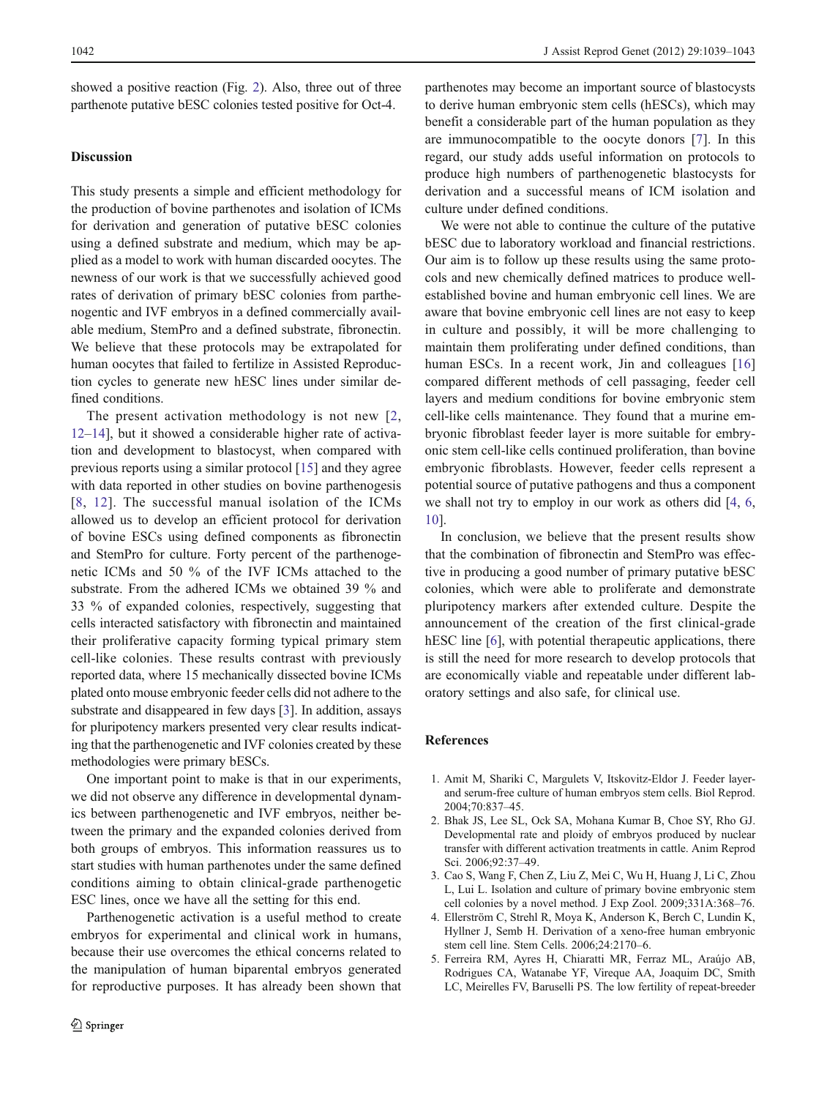showed a positive reaction (Fig. 2). Also, three out of three parthenote putative bESC colonies tested positive for Oct-4.

## Discussion

This study presents a simple and efficient methodology for the production of bovine parthenotes and isolation of ICMs for derivation and generation of putative bESC colonies using a defined substrate and medium, which may be applied as a model to work with human discarded oocytes. The newness of our work is that we successfully achieved good rates of derivation of primary bESC colonies from parthenogentic and IVF embryos in a defined commercially available medium, StemPro and a defined substrate, fibronectin. We believe that these protocols may be extrapolated for human oocytes that failed to fertilize in Assisted Reproduction cycles to generate new hESC lines under similar defined conditions.

The present activation methodology is not new [2, 12–14], but it showed a considerable higher rate of activation and development to blastocyst, when compared with previous reports using a similar protocol [15] and they agree with data reported in other studies on bovine parthenogesis [8, 12]. The successful manual isolation of the ICMs allowed us to develop an efficient protocol for derivation of bovine ESCs using defined components as fibronectin and StemPro for culture. Forty percent of the parthenogenetic ICMs and 50 % of the IVF ICMs attached to the substrate. From the adhered ICMs we obtained 39 % and 33 % of expanded colonies, respectively, suggesting that cells interacted satisfactory with fibronectin and maintained their proliferative capacity forming typical primary stem cell-like colonies. These results contrast with previously reported data, where 15 mechanically dissected bovine ICMs plated onto mouse embryonic feeder cells did not adhere to the substrate and disappeared in few days [3]. In addition, assays for pluripotency markers presented very clear results indicating that the parthenogenetic and IVF colonies created by these methodologies were primary bESCs.

One important point to make is that in our experiments, we did not observe any difference in developmental dynamics between parthenogenetic and IVF embryos, neither between the primary and the expanded colonies derived from both groups of embryos. This information reassures us to start studies with human parthenotes under the same defined conditions aiming to obtain clinical-grade parthenogetic ESC lines, once we have all the setting for this end.

Parthenogenetic activation is a useful method to create embryos for experimental and clinical work in humans, because their use overcomes the ethical concerns related to the manipulation of human biparental embryos generated for reproductive purposes. It has already been shown that parthenotes may become an important source of blastocysts to derive human embryonic stem cells (hESCs), which may benefit a considerable part of the human population as they are immunocompatible to the oocyte donors [7]. In this regard, our study adds useful information on protocols to produce high numbers of parthenogenetic blastocysts for derivation and a successful means of ICM isolation and culture under defined conditions.

We were not able to continue the culture of the putative bESC due to laboratory workload and financial restrictions. Our aim is to follow up these results using the same protocols and new chemically defined matrices to produce wellestablished bovine and human embryonic cell lines. We are aware that bovine embryonic cell lines are not easy to keep in culture and possibly, it will be more challenging to maintain them proliferating under defined conditions, than human ESCs. In a recent work, Jin and colleagues [16] compared different methods of cell passaging, feeder cell layers and medium conditions for bovine embryonic stem cell-like cells maintenance. They found that a murine embryonic fibroblast feeder layer is more suitable for embryonic stem cell-like cells continued proliferation, than bovine embryonic fibroblasts. However, feeder cells represent a potential source of putative pathogens and thus a component we shall not try to employ in our work as others did [4, 6, 10].

In conclusion, we believe that the present results show that the combination of fibronectin and StemPro was effective in producing a good number of primary putative bESC colonies, which were able to proliferate and demonstrate pluripotency markers after extended culture. Despite the announcement of the creation of the first clinical-grade hESC line [6], with potential therapeutic applications, there is still the need for more research to develop protocols that are economically viable and repeatable under different laboratory settings and also safe, for clinical use.

#### References

- 1. Amit M, Shariki C, Margulets V, Itskovitz-Eldor J. Feeder layerand serum-free culture of human embryos stem cells. Biol Reprod. 2004;70:837–45.
- 2. Bhak JS, Lee SL, Ock SA, Mohana Kumar B, Choe SY, Rho GJ. Developmental rate and ploidy of embryos produced by nuclear transfer with different activation treatments in cattle. Anim Reprod Sci. 2006;92:37–49.
- 3. Cao S, Wang F, Chen Z, Liu Z, Mei C, Wu H, Huang J, Li C, Zhou L, Lui L. Isolation and culture of primary bovine embryonic stem cell colonies by a novel method. J Exp Zool. 2009;331A:368–76.
- 4. Ellerström C, Strehl R, Moya K, Anderson K, Berch C, Lundin K, Hyllner J, Semb H. Derivation of a xeno-free human embryonic stem cell line. Stem Cells. 2006;24:2170–6.
- 5. Ferreira RM, Ayres H, Chiaratti MR, Ferraz ML, Araújo AB, Rodrigues CA, Watanabe YF, Vireque AA, Joaquim DC, Smith LC, Meirelles FV, Baruselli PS. The low fertility of repeat-breeder